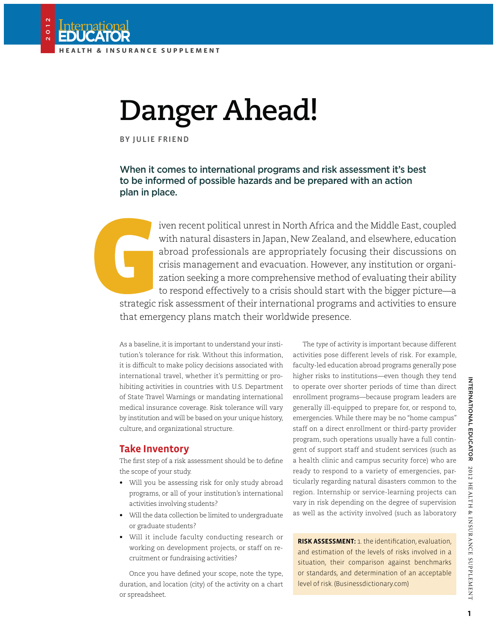Internation

2012

# **Danger Ahead!**

BY JULIE FRIEND

### When it comes to international programs and risk assessment it's best to be informed of possible hazards and be prepared with an action plan in place.

iven recent political unrest in North Africa and the Middle East, coupled with natural disasters in Japan, New Zealand, and elsewhere, education abroad professionals are appropriately focusing their discussions on crisis management and evacuation. However, any institution or organization seeking a more comprehensive method of evaluating their ability to respond effectively to a crisis should start with the bigger picture—a strategic risk assessment of their international programs and activities to ensure

that emergency plans match their worldwide presence.

As a baseline, it is important to understand your institution's tolerance for risk. Without this information, it is difficult to make policy decisions associated with international travel, whether it's permitting or prohibiting activities in countries with U.S. Department of State Travel Warnings or mandating international medical insurance coverage. Risk tolerance will vary by institution and will be based on your unique history, culture, and organizational structure.

**Take Inventory** The first step of a risk assessment should be to define the scope of your study.

- Will you be assessing risk for only study abroad programs, or all of your institution's international activities involving students?
- Will the data collection be limited to undergraduate or graduate students?
- Will it include faculty conducting research or working on development projects, or staff on recruitment or fundraising activities?

Once you have defined your scope, note the type, duration, and location (city) of the activity on a chart or spreadsheet.

The *type* of activity is important because different activities pose different levels of risk. For example, faculty-led education abroad programs generally pose higher risks to institutions—even though they tend to operate over shorter periods of time than direct enrollment programs—because program leaders are generally ill-equipped to prepare for, or respond to, emergencies. While there may be no "home campus" staff on a direct enrollment or third-party provider program, such operations usually have a full contingent of support staff and student services (such as a health clinic and campus security force) who are ready to respond to a variety of emergencies, particularly regarding natural disasters common to the region. Internship or service-learning projects can vary in risk depending on the degree of supervision as well as the activity involved (such as laboratory

**RISK ASSESSMENT:** 1. the identification, evaluation, and estimation of the levels of risks involved in a situation, their comparison against benchmarks or standards, and determination of an acceptable level of risk. (Businessdictionary.com)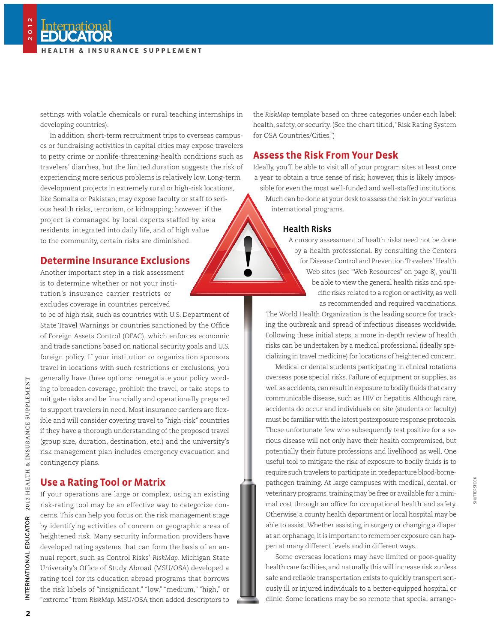settings with volatile chemicals or rural teaching internships in developing countries).

In addition, short-term recruitment trips to overseas campuses or fundraising activities in capital cities may expose travelers to petty crime or nonlife-threatening-health conditions such as travelers' diarrhea, but the limited duration suggests the risk of experiencing more serious problems is relatively low. Long-term development projects in extremely rural or high-risk locations, like Somalia or Pakistan, may expose faculty or staff to serious health risks, terrorism, or kidnapping; however, if the project is comanaged by local experts staffed by area residents, integrated into daily life, and of high value to the community, certain risks are diminished.

### **Determine Insurance Exclusions**

**Determine Insurance Exclusions** Another important step in a risk assessment is to determine whether or not your institution's insurance carrier restricts or excludes coverage in countries perceived

to be of high risk, such as countries with U.S. Department of State Travel Warnings or countries sanctioned by the Office of Foreign Assets Control (OFAC), which enforces economic and trade sanctions based on national security goals and U.S. foreign policy. If your institution or organization sponsors travel in locations with such restrictions or exclusions, you generally have three options: renegotiate your policy wording to broaden coverage, prohibit the travel, or take steps to mitigate risks and be financially and operationally prepared to support travelers in need. Most insurance carriers are flexible and will consider covering travel to "high-risk" countries if they have a thorough understanding of the proposed travel (group size, duration, destination, etc.) and the university's risk management plan includes emergency evacuation and contingency plans.

**Use a Rating Tool or Matrix** If your operations are large or complex, using an existing risk-rating tool may be an effective way to categorize concerns. This can help you focus on the risk management stage by identifying activities of concern or geographic areas of heightened risk. Many security information providers have developed rating systems that can form the basis of an annual report, such as Control Risks' *RiskMap.* Michigan State University's Office of Study Abroad (MSU/OSA) developed a rating tool for its education abroad programs that borrows the risk labels of "insignificant," "low," "medium," "high," or "extreme" from *RiskMap.* MSU/OSA then added descriptors to

the *RiskMap* template based on three categories under each label: health, safety, or security. (See the chart titled, "Risk Rating System for OSA Countries/Cities.")

**Assess the Risk From Your Desk** Ideally, you'll be able to visit all of your program sites at least once a year to obtain a true sense of risk; however, this is likely impossible for even the most well-funded and well-staffed institutions. Much can be done at your desk to assess the risk in your various international programs.

### Health Risks

A cursory assessment of health risks need not be done by a health professional. By consulting the Centers for Disease Control and Prevention Travelers' Health Web sites (see "Web Resources" on page 8), you'll be able to view the general health risks and specific risks related to a region or activity, as well as recommended and required vaccinations.

The World Health Organization is the leading source for tracking the outbreak and spread of infectious diseases worldwide. Following these initial steps, a more in-depth review of health risks can be undertaken by a medical professional (ideally specializing in travel medicine) for locations of heightened concern.

Medical or dental students participating in clinical rotations overseas pose special risks. Failure of equipment or supplies, as well as accidents, can result in exposure to bodily fluids that carry communicable disease, such as HIV or hepatitis. Although rare, accidents do occur and individuals on site (students or faculty) must be familiar with the latest postexposure response protocols. Those unfortunate few who subsequently test positive for a serious disease will not only have their health compromised, but potentially their future professions and livelihood as well. One useful tool to mitigate the risk of exposure to bodily fluids is to require such travelers to participate in predeparture blood-bornepathogen training. At large campuses with medical, dental, or veterinary programs, training may be free or available for a minimal cost through an office for occupational health and safety. Otherwise, a county health department or local hospital may be able to assist. Whether assisting in surgery or changing a diaper at an orphanage, it is important to remember exposure can happen at many different levels and in different ways.

Some overseas locations may have limited or poor-quality health care facilities, and naturally this will increase risk zunless safe and reliable transportation exists to quickly transport seriously ill or injured individuals to a better-equipped hospital or clinic. Some locations may be so remote that special arrange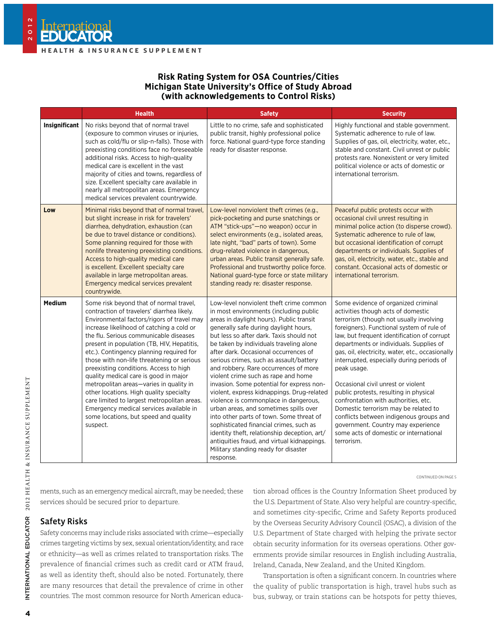nternation

2012

#### **Risk Rating System for OSA Countries/Cities Michigan State University's Office of Study Abroad (with acknowledgements to Control Risks)**

|                      | <b>Health</b>                                                                                                                                                                                                                                                                                                                                                                                                                                                                                                                                                                                                                                                                              | <b>Safety</b>                                                                                                                                                                                                                                                                                                                                                                                                                                                                                                                                                                                                                                                                                                                                                                                                                                              | <b>Security</b>                                                                                                                                                                                                                                                                                                                                                                                                                                                                                                                                                                                                                                                                      |  |  |
|----------------------|--------------------------------------------------------------------------------------------------------------------------------------------------------------------------------------------------------------------------------------------------------------------------------------------------------------------------------------------------------------------------------------------------------------------------------------------------------------------------------------------------------------------------------------------------------------------------------------------------------------------------------------------------------------------------------------------|------------------------------------------------------------------------------------------------------------------------------------------------------------------------------------------------------------------------------------------------------------------------------------------------------------------------------------------------------------------------------------------------------------------------------------------------------------------------------------------------------------------------------------------------------------------------------------------------------------------------------------------------------------------------------------------------------------------------------------------------------------------------------------------------------------------------------------------------------------|--------------------------------------------------------------------------------------------------------------------------------------------------------------------------------------------------------------------------------------------------------------------------------------------------------------------------------------------------------------------------------------------------------------------------------------------------------------------------------------------------------------------------------------------------------------------------------------------------------------------------------------------------------------------------------------|--|--|
| <b>Insignificant</b> | No risks beyond that of normal travel<br>(exposure to common viruses or injuries,<br>such as cold/flu or slip-n-falls). Those with<br>preexisting conditions face no foreseeable<br>additional risks. Access to high-quality<br>medical care is excellent in the vast<br>majority of cities and towns, regardless of<br>size. Excellent specialty care available in<br>nearly all metropolitan areas. Emergency<br>medical services prevalent countrywide.                                                                                                                                                                                                                                 | Little to no crime, safe and sophisticated<br>public transit, highly professional police<br>force. National guard-type force standing<br>ready for disaster response.                                                                                                                                                                                                                                                                                                                                                                                                                                                                                                                                                                                                                                                                                      | Highly functional and stable government.<br>Systematic adherence to rule of law.<br>Supplies of gas, oil, electricity, water, etc.,<br>stable and constant. Civil unrest or public<br>protests rare. Nonexistent or very limited<br>political violence or acts of domestic or<br>international terrorism.                                                                                                                                                                                                                                                                                                                                                                            |  |  |
| Low                  | Minimal risks beyond that of normal travel,<br>but slight increase in risk for travelers'<br>diarrhea, dehydration, exhaustion (can<br>be due to travel distance or conditions).<br>Some planning required for those with<br>nonlife threatening preexisting conditions.<br>Access to high-quality medical care<br>is excellent. Excellent specialty care<br>available in large metropolitan areas.<br>Emergency medical services prevalent<br>countrywide.                                                                                                                                                                                                                                | Low-level nonviolent theft crimes (e.g.,<br>pick-pocketing and purse snatchings or<br>ATM "stick-ups"-no weapon) occur in<br>select environments (e.g., isolated areas,<br>late night, "bad" parts of town). Some<br>drug-related violence in dangerous,<br>urban areas. Public transit generally safe.<br>Professional and trustworthy police force.<br>National guard-type force or state military<br>standing ready re: disaster response.                                                                                                                                                                                                                                                                                                                                                                                                              | Peaceful public protests occur with<br>occasional civil unrest resulting in<br>minimal police action (to disperse crowd).<br>Systematic adherence to rule of law,<br>but occasional identification of corrupt<br>departments or individuals. Supplies of<br>gas, oil, electricity, water, etc., stable and<br>constant. Occasional acts of domestic or<br>international terrorism.                                                                                                                                                                                                                                                                                                   |  |  |
| <b>Medium</b>        | Some risk beyond that of normal travel,<br>contraction of travelers' diarrhea likely.<br>Environmental factors/rigors of travel may<br>increase likelihood of catching a cold or<br>the flu. Serious communicable diseases<br>present in population (TB, HIV, Hepatitis,<br>etc.). Contingency planning required for<br>those with non-life threatening or serious<br>preexisting conditions. Access to high<br>quality medical care is good in major<br>metropolitan areas-varies in quality in<br>other locations. High quality specialty<br>care limited to largest metropolitan areas.<br>Emergency medical services available in<br>some locations, but speed and quality<br>suspect. | Low-level nonviolent theft crime common<br>in most environments (including public<br>areas in daylight hours). Public transit<br>generally safe during daylight hours,<br>but less so after dark. Taxis should not<br>be taken by individuals traveling alone<br>after dark. Occasional occurrences of<br>serious crimes, such as assault/battery<br>and robbery. Rare occurrences of more<br>violent crime such as rape and home<br>invasion. Some potential for express non-<br>violent, express kidnappings. Drug-related<br>violence is commonplace in dangerous,<br>urban areas, and sometimes spills over<br>into other parts of town. Some threat of<br>sophisticated financial crimes, such as<br>identity theft, relationship deception, art/<br>antiquities fraud, and virtual kidnappings.<br>Military standing ready for disaster<br>response. | Some evidence of organized criminal<br>activities though acts of domestic<br>terrorism (though not usually involving<br>foreigners). Functional system of rule of<br>law, but frequent identification of corrupt<br>departments or individuals. Supplies of<br>gas, oil, electricity, water, etc., occasionally<br>interrupted, especially during periods of<br>peak usage.<br>Occasional civil unrest or violent<br>public protests, resulting in physical<br>confrontation with authorities, etc.<br>Domestic terrorism may be related to<br>conflicts between indigenous groups and<br>government. Country may experience<br>some acts of domestic or international<br>terrorism. |  |  |

CONTINUED ON PAGE 5

ments, such as an emergency medical aircraft, may be needed; these services should be secured prior to departure.

#### Safety Risks

Safety concerns may include risks associated with crime—especially crimes targeting victims by sex, sexual orientation/identity, and race or ethnicity—as well as crimes related to transportation risks. The prevalence of financial crimes such as credit card or ATM fraud, as well as identity theft, should also be noted. Fortunately, there are many resources that detail the prevalence of crime in other countries. The most common resource for North American education abroad offices is the Country Information Sheet produced by the U.S. Department of State. Also very helpful are country-specific, and sometimes city-specific, Crime and Safety Reports produced by the Overseas Security Advisory Council (OSAC), a division of the U.S. Department of State charged with helping the private sector obtain security information for its overseas operations. Other governments provide similar resources in English including Australia, Ireland, Canada, New Zealand, and the United Kingdom.

Transportation is often a significant concern. In countries where the quality of public transportation is high, travel hubs such as bus, subway, or train stations can be hotspots for petty thieves,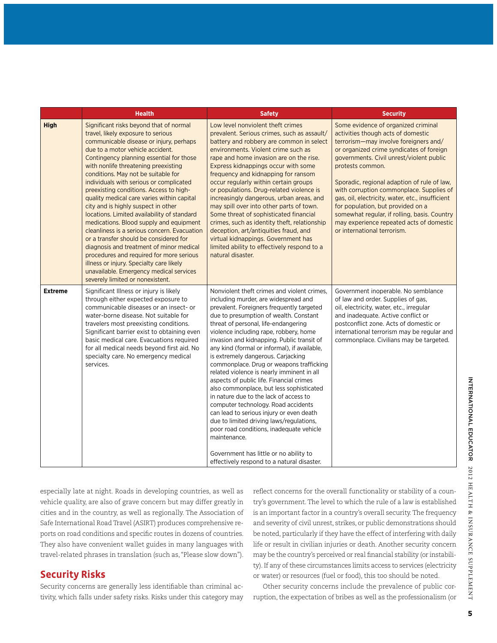|                | <b>Health</b>                                                                                                                                                                                                                                                                                                                                                                                                                                                                                                                                                                                                                                                                                                                                                                                                                                                             | <b>Safety</b>                                                                                                                                                                                                                                                                                                                                                                                                                                                                                                                                                                                                                                                                                                                                                                                                                                                                                                   | <b>Security</b>                                                                                                                                                                                                                                                                                                                                                                                                                                                                                                                               |  |  |
|----------------|---------------------------------------------------------------------------------------------------------------------------------------------------------------------------------------------------------------------------------------------------------------------------------------------------------------------------------------------------------------------------------------------------------------------------------------------------------------------------------------------------------------------------------------------------------------------------------------------------------------------------------------------------------------------------------------------------------------------------------------------------------------------------------------------------------------------------------------------------------------------------|-----------------------------------------------------------------------------------------------------------------------------------------------------------------------------------------------------------------------------------------------------------------------------------------------------------------------------------------------------------------------------------------------------------------------------------------------------------------------------------------------------------------------------------------------------------------------------------------------------------------------------------------------------------------------------------------------------------------------------------------------------------------------------------------------------------------------------------------------------------------------------------------------------------------|-----------------------------------------------------------------------------------------------------------------------------------------------------------------------------------------------------------------------------------------------------------------------------------------------------------------------------------------------------------------------------------------------------------------------------------------------------------------------------------------------------------------------------------------------|--|--|
| <b>High</b>    | Significant risks beyond that of normal<br>travel, likely exposure to serious<br>communicable disease or injury, perhaps<br>due to a motor vehicle accident.<br>Contingency planning essential for those<br>with nonlife threatening preexisting<br>conditions. May not be suitable for<br>individuals with serious or complicated<br>preexisting conditions. Access to high-<br>quality medical care varies within capital<br>city and is highly suspect in other<br>locations. Limited availability of standard<br>medications. Blood supply and equipment<br>cleanliness is a serious concern. Evacuation<br>or a transfer should be considered for<br>diagnosis and treatment of minor medical<br>procedures and required for more serious<br>illness or injury. Specialty care likely<br>unavailable. Emergency medical services<br>severely limited or nonexistent. | Low level nonviolent theft crimes<br>prevalent. Serious crimes, such as assault/<br>battery and robbery are common in select<br>environments. Violent crime such as<br>rape and home invasion are on the rise.<br>Express kidnappings occur with some<br>frequency and kidnapping for ransom<br>occur regularly within certain groups<br>or populations. Drug-related violence is<br>increasingly dangerous, urban areas, and<br>may spill over into other parts of town.<br>Some threat of sophisticated financial<br>crimes, such as identity theft, relationship<br>deception, art/antiquities fraud, and<br>virtual kidnappings. Government has<br>limited ability to effectively respond to a<br>natural disaster.                                                                                                                                                                                         | Some evidence of organized criminal<br>activities though acts of domestic<br>terrorism-may involve foreigners and/<br>or organized crime syndicates of foreign<br>governments. Civil unrest/violent public<br>protests common.<br>Sporadic, regional adaption of rule of law,<br>with corruption commonplace. Supplies of<br>gas, oil, electricity, water, etc., insufficient<br>for population, but provided on a<br>somewhat regular, if rolling, basis. Country<br>may experience repeated acts of domestic<br>or international terrorism. |  |  |
| <b>Extreme</b> | Significant Illness or injury is likely<br>through either expected exposure to<br>communicable diseases or an insect- or<br>water-borne disease. Not suitable for<br>travelers most preexisting conditions.<br>Significant barrier exist to obtaining even<br>basic medical care. Evacuations required<br>for all medical needs beyond first aid. No<br>specialty care. No emergency medical<br>services.                                                                                                                                                                                                                                                                                                                                                                                                                                                                 | Nonviolent theft crimes and violent crimes.<br>including murder, are widespread and<br>prevalent. Foreigners frequently targeted<br>due to presumption of wealth. Constant<br>threat of personal, life-endangering<br>violence including rape, robbery, home<br>invasion and kidnapping. Public transit of<br>any kind (formal or informal), if available,<br>is extremely dangerous. Carjacking<br>commonplace. Drug or weapons trafficking<br>related violence is nearly imminent in all<br>aspects of public life. Financial crimes<br>also commonplace, but less sophisticated<br>in nature due to the lack of access to<br>computer technology. Road accidents<br>can lead to serious injury or even death<br>due to limited driving laws/regulations,<br>poor road conditions, inadequate vehicle<br>maintenance.<br>Government has little or no ability to<br>effectively respond to a natural disaster. | Government inoperable. No semblance<br>of law and order. Supplies of gas,<br>oil, electricity, water, etc., irregular<br>and inadequate. Active conflict or<br>postconflict zone. Acts of domestic or<br>international terrorism may be regular and<br>commonplace. Civilians may be targeted.                                                                                                                                                                                                                                                |  |  |

especially late at night. Roads in developing countries, as well as vehicle quality, are also of grave concern but may differ greatly in cities and in the country, as well as regionally. The Association of Safe International Road Travel (ASIRT) produces comprehensive reports on road conditions and specific routes in dozens of countries. They also have convenient wallet guides in many languages with travel-related phrases in translation (such as, "Please slow down").

**Security Risks** Security concerns are generally less identifiable than criminal activity, which falls under safety risks. Risks under this category may reflect concerns for the overall functionality or stability of a country's government. The level to which the rule of a law is established is an important factor in a country's overall security. The frequency and severity of civil unrest, strikes, or public demonstrations should be noted, particularly if they have the effect of interfering with daily life or result in civilian injuries or death. Another security concern may be the country's perceived or real financial stability (or instability). If any of these circumstances limits access to services (electricity or water) or resources (fuel or food), this too should be noted.

Other security concerns include the prevalence of public corruption, the expectation of bribes as well as the professionalism (or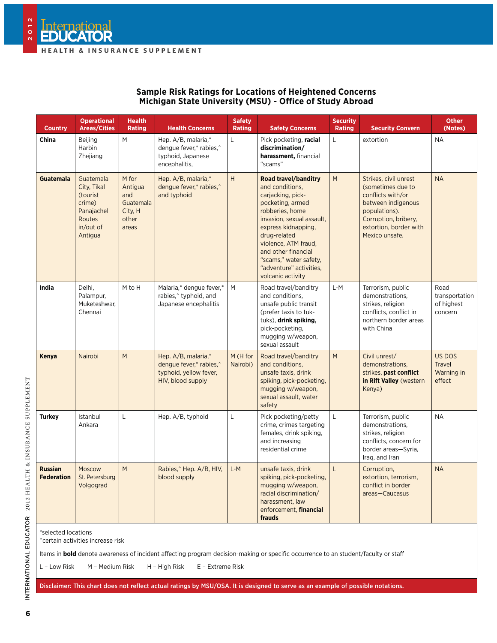| <b>Sample Risk Ratings for Locations of Heightened Concerns</b> |  |
|-----------------------------------------------------------------|--|
| Michigan State University (MSU) - Office of Study Abroad        |  |

| <b>Country</b>                      | <b>Operational</b><br><b>Areas/Cities</b>                                                      | <b>Health</b><br><b>Rating</b>                                    | <b>Health Concerns</b>                                                                        | <b>Safety</b><br><b>Rating</b> | <b>Safety Concerns</b>                                                                                                                                                                                                                                                                                  | <b>Security</b><br><b>Rating</b>               | <b>Security Convern</b>                                                                                                                                                    | <b>Other</b><br>(Notes)                         |
|-------------------------------------|------------------------------------------------------------------------------------------------|-------------------------------------------------------------------|-----------------------------------------------------------------------------------------------|--------------------------------|---------------------------------------------------------------------------------------------------------------------------------------------------------------------------------------------------------------------------------------------------------------------------------------------------------|------------------------------------------------|----------------------------------------------------------------------------------------------------------------------------------------------------------------------------|-------------------------------------------------|
| China                               | Beijing<br>Harbin<br>Zhejiang                                                                  | ${\sf M}$                                                         | Hep. A/B, malaria,*<br>denque fever,* rabies,^<br>typhoid, Japanese<br>encephalitis,          | L                              | Pick pocketing, racial<br>discrimination/<br>harassment, financial<br>"scams"                                                                                                                                                                                                                           | L                                              | extortion                                                                                                                                                                  | <b>NA</b>                                       |
| <b>Guatemala</b>                    | Guatemala<br>City, Tikal<br>(tourist<br>crime)<br>Panajachel<br>Routes<br>in/out of<br>Antigua | M for<br>Antigua<br>and<br>Guatemala<br>City, H<br>other<br>areas | Hep. A/B, malaria,*<br>denque fever,* rabies,^<br>and typhoid                                 | $\boldsymbol{\mathsf{H}}$      | <b>Road travel/banditry</b><br>and conditions.<br>carjacking, pick-<br>pocketing, armed<br>robberies, home<br>invasion, sexual assault,<br>express kidnapping,<br>drug-related<br>violence, ATM fraud,<br>and other financial<br>"scams," water safety,<br>"adventure" activities,<br>volcanic activity | $\mathsf{M}% _{1}\left( \mathsf{M}_{2}\right)$ | Strikes, civil unrest<br>(sometimes due to<br>conflicts with/or<br>between indigenous<br>populations).<br>Corruption, bribery,<br>extortion, border with<br>Mexico unsafe. | <b>NA</b>                                       |
| India                               | Delhi,<br>Palampur,<br>Muketeshwar,<br>Chennai                                                 | M to H                                                            | Malaria,* dengue fever,*<br>rabies, <sup>^</sup> typhoid, and<br>Japanese encephalitis        | M                              | Road travel/banditry<br>and conditions.<br>unsafe public transit<br>(prefer taxis to tuk-<br>tuks), drink spiking,<br>pick-pocketing,<br>mugging w/weapon.<br>sexual assault                                                                                                                            | $L-M$                                          | Terrorism, public<br>demonstrations,<br>strikes, religion<br>conflicts, conflict in<br>northern border areas<br>with China                                                 | Road<br>transportation<br>of highest<br>concern |
| <b>Kenya</b>                        | Nairobi                                                                                        | M                                                                 | Hep. A/B, malaria,*<br>dengue fever,* rabies,^<br>typhoid, yellow fever,<br>HIV, blood supply | M (H for<br>Nairobi)           | Road travel/banditry<br>and conditions.<br>unsafe taxis, drink<br>spiking, pick-pocketing,<br>mugging w/weapon,<br>sexual assault, water<br>safety                                                                                                                                                      | M                                              | Civil unrest/<br>demonstrations,<br>strikes, past conflict<br>in Rift Valley (western<br>Kenya)                                                                            | US DOS<br><b>Travel</b><br>Warning in<br>effect |
| <b>Turkey</b>                       | Istanbul<br>Ankara                                                                             | L                                                                 | Hep. A/B, typhoid                                                                             | L                              | Pick pocketing/petty<br>crime, crimes targeting<br>females, drink spiking,<br>and increasing<br>residential crime                                                                                                                                                                                       | L                                              | Terrorism, public<br>demonstrations.<br>strikes, religion<br>conflicts, concern for<br>border areas-Syria,<br>Iraq, and Iran                                               | <b>NA</b>                                       |
| <b>Russian</b><br><b>Federation</b> | Moscow<br>St. Petersburg<br>Volgograd                                                          | M                                                                 | Rabies, Hep. A/B, HIV,<br>blood supply                                                        | $L-M$                          | unsafe taxis, drink<br>spiking, pick-pocketing,<br>mugging w/weapon,<br>racial discrimination/<br>harassment, law<br>enforcement, financial<br>frauds                                                                                                                                                   | L                                              | Corruption,<br>extortion, terrorism,<br>conflict in border<br>areas-Caucasus                                                                                               | <b>NA</b>                                       |
| *selected locations                 |                                                                                                |                                                                   |                                                                                               |                                |                                                                                                                                                                                                                                                                                                         |                                                |                                                                                                                                                                            |                                                 |

^certain activities increase risk

Items in **bold** denote awareness of incident affecting program decision-making or specific occurrence to an student/faculty or staff

L – Low Risk M – Medium Risk H – High Risk E – Extreme Risk

Disclaimer: This chart does not reflect actual ratings by MSU/OSA. It is designed to serve as an example of possible notations.